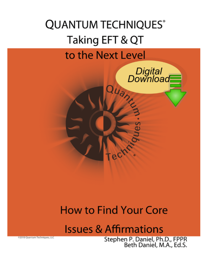# **QUANTUM TECHNIQUES®** Taking EFT & QT to the Next Level

**Quanti** 

# **How to Find Your Core**

**Issues & Affirmations** 

02018 Quantum Techniques, LLC

Stephen P. Daniel, Ph.D., FPPR<br>Beth Daniel, M.A., Ed.S.

Digital<br>Download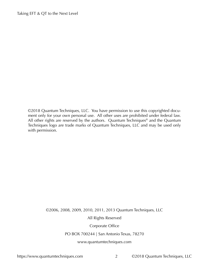©2018 Quantum Techniques, LLC. You have permission to use this copyrighted document only for your own personal use. All other uses are prohibited under federal law. All other rights are reserved by the authors. Quantum Techniques<sup>®</sup> and the Quantum Techniques logo are trade marks of Quantum Techniques, LLC and may be used only with permission.

## ©2006, 2008, 2009, 2010, 2011, 2013 Quantum Techniques, LLC

#### All Rights Reserved

#### Corporate Office

#### PO BOX 700244 | San Antonio Texas, 78270

#### <www.quantumtechniques.com>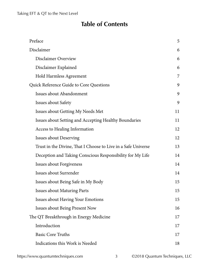## **Table of Contents**

| Preface                                                       |    |
|---------------------------------------------------------------|----|
| Disclaimer                                                    |    |
| <b>Disclaimer Overview</b>                                    | 6  |
| Disclaimer Explained                                          | 6  |
| Hold Harmless Agreement                                       | 7  |
| <b>Quick Reference Guide to Core Questions</b>                |    |
| Issues about Abandonment                                      | 9  |
| <b>Issues about Safety</b>                                    | 9  |
| Issues about Getting My Needs Met                             | 11 |
| Issues about Setting and Accepting Healthy Boundaries         | 11 |
| <b>Access to Healing Information</b>                          | 12 |
| <b>Issues about Deserving</b>                                 | 12 |
| Trust in the Divine, That I Choose to Live in a Safe Universe | 13 |
| Deception and Taking Conscious Responsibility for My Life     | 14 |
| <b>Issues about Forgiveness</b>                               | 14 |
| Issues about Surrender                                        | 14 |
| Issues about Being Safe in My Body                            | 15 |
| <b>Issues about Maturing Parts</b>                            | 15 |
| <b>Issues about Having Your Emotions</b>                      | 15 |
| <b>Issues about Being Present Now</b>                         | 16 |
| The QT Breakthrough in Energy Medicine                        |    |
| Introduction                                                  | 17 |
| <b>Basic Core Truths</b>                                      | 17 |
| Indications this Work is Needed                               | 18 |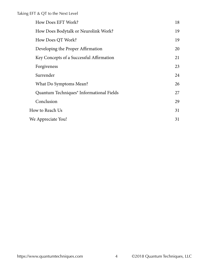|                 | How Does EFT Work?                                   | 18 |
|-----------------|------------------------------------------------------|----|
|                 | How Does Bodytalk or Neurolink Work?                 | 19 |
|                 | How Does QT Work?                                    | 19 |
|                 | Developing the Proper Affirmation                    | 20 |
|                 | Key Concepts of a Successful Affirmation             | 21 |
|                 | Forgiveness                                          | 23 |
|                 | Surrender                                            | 24 |
|                 | What Do Symptoms Mean?                               | 26 |
|                 | Quantum Techniques <sup>®</sup> Informational Fields | 27 |
|                 | Conclusion                                           | 29 |
| How to Reach Us |                                                      | 31 |
|                 | We Appreciate You!                                   |    |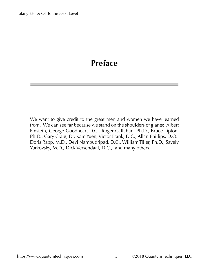## <span id="page-4-0"></span>**Preface**

We want to give credit to the great men and women we have learned from. We can see far because we stand on the shoulders of giants: Albert Einstein, George Goodheart D.C., Roger Callahan, Ph.D., Bruce Lipton, Ph.D., Gary Craig, Dr. Kam Yuen, Victor Frank, D.C., Allan Phillips, D.O., Doris Rapp, M.D., Devi Nambudripad, D.C., William Tiller, Ph.D., Savely Yurkovsky, M.D., Dick Versendaal, D.C., and many others.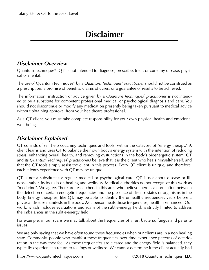## **Disclaimer**

## <span id="page-5-0"></span>*Disclaimer Overview*

Quantum Techniques® (QT) is not intended to diagnose, prescribe, treat, or cure any disease, physical or mental.

The use of Quantum Techniques® by a *Quantum Techniques® practitioner* should not be construed as a prescription, a promise of benefits, claims of cures, or a guarantee of results to be achieved.

The information, instruction or advice given by a *Quantum Techniques® practitioner* is not intended to be a substitute for competent professional medical or psychological diagnosis and care. You should not discontinue or modify any medication presently being taken pursuant to medical advice without obtaining approval from your healthcare professional.

As a QT client, you must take complete responsibility for your own physical health and emotional well-being.

## *Disclaimer Explained*

QT consists of self-help coaching techniques and tools, within the category of "energy therapy." A client learns and uses QT to balance their own body's energy system with the intention of reducing stress, enhancing overall health, and removing dysfunctions in the body's bioenergetic system. QT and its *Quantum Techniques<sup>®</sup> practitioners* believe that it is the client who heals himself/herself, and that the QT tools simply assist the client in this process. Every QT client is unique, and therefore, each client's experience with QT may be unique.

QT is not a substitute for regular medical or psychological care. QT is not about disease or illness—rather, its focus is on healing and wellness. Medical authorities do not recognize this work as "medicine". We agree. There are researchers in this area who believe there is a correlation between the detection of certain energetic frequencies and the presence of disease states or organisms in the body. Energy therapies, like QT, may be able to identify the unhealthy frequencies years before a physical disease manifests in the body. As a person heals those frequencies, health is enhanced. Our work, which includes evaluations and scans of the subtle-energy field, is strictly limited to address the imbalances in the subtle-energy field.

For example, in our scans we may talk about the frequencies of virus, bacteria, fungus and parasite issues.

We are only saying that we have often found those frequencies when our clients are in a non healing state. Commonly, people who manifest those frequencies over time experience patterns of deterioration in the way they feel. As those frequencies are cleared and the energy field is balanced, they typically experience a return to feelings of wellness. We cannot determine if the client actually had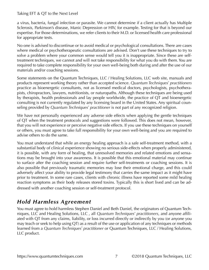<span id="page-6-0"></span>a virus, bacteria, fungal infection or parasite. We cannot determine if a client actually has Multiple Sclerosis, Parkinson's disease, Manic Depression or HIV, for example. Testing for that is beyond our expertise. For those determinations, we refer clients to their M.D. or licensed health care professional for appropriate tests.

No one is advised to discontinue or to avoid medical or psychological consultations. There are cases where medical or psychotherapeutic consultations are advised. Don't use these techniques to try to solve a problem where your common sense would tell you it is inappropriate. Since these are selftreatment techniques, we cannot and will not take responsibility for what you do with them. You are required to take complete responsibility for your own well-being both during and after the use of our materials and/or coaching sessions.

Some statements on the Quantum Techniques, LLC / Healing Solutions, LLC web site, manuals and products represent working theory rather than accepted science. *Quantum Techniques® practitioners* practice as bioenergetic consultants, not as licensed medical doctors, psychologists, psychotherapists, chiropractors, lawyers, nutritionists, or naturopaths. Although these techniques are being used by therapists, health professionals and lay people worldwide, the practice of QT and bioenergetic consulting is not currently regulated by any licensing board in the United States. Any spiritual counseling provided by *Quantum Techniques® practitioner* is not part of any recognized religion.

We have not personally experienced any adverse side effects when applying the gentle techniques of QT when the treatment protocols and suggestions were followed. This does not mean, however, that you will not experience or perceive negative side effects. If you use these techniques on yourself or others, you must agree to take full responsibility for your own well-being and you are required to advise others to do the same.

You must understand that while an energy healing approach is a safe self-treatment method, with a substantial body of clinical experience showing no serious side-effects when properly administered, it is possible, with any form of healing, that unresolved memories and related emotions and sensations may be brought into your awareness. It is possible that this emotional material may continue to surface after the coaching session and require further self-treatments or coaching sessions. It is also possible that previously traumatic memories may lose their emotional charge, and this could adversely affect your ability to provide legal testimony that carries the same impact as it might have prior to treatment. In some rare cases, clients with chronic illness have reported some mild healing reaction symptoms as their body releases stored toxins. Typically this is short lived and can be addressed with another coaching session or self-treatment protocol.

## *Hold Harmless Agreement*

You must agree to hold harmless Stephen Daniel and Beth Daniel, the originators of Quantum Techniques, LLC and Healing Solutions, LLC , all *Quantum Techniques® practitioners*, and anyone affiliated with QT from any claims, liability, or loss incurred directly or indirectly by you (or anyone you may teach or seek to help using QT) as a result of the use or application of any techniques or methods learned from a *Quantum Techniques<sup>®</sup> practitioner* or Quantum Techniques, LLC / Healing Solutions, LLC product.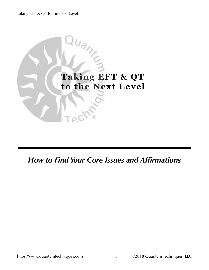

*How to Find Your Core Issues and Affirmations*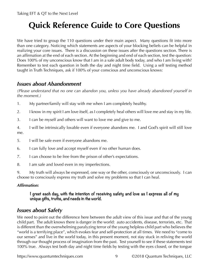# <span id="page-8-0"></span>**Quick Reference Guide to Core Questions**

We have tried to group the 110 questions under their main aspect. Many questions fit into more than one category. Noticing which statements are aspects of your blocking beliefs can be helpful in realizing your core issues. There is a discussion on these issues after the questions section. There is an affirmation at the end of each section. At the beginning and end of each section, test the question: Does 100% of my unconscious know that I am in a safe adult body today, and who I am living with? Remember to test each question in both the day and night time field. Using a self testing method taught in Truth Techniques, ask if 100% of your conscious and unconscious knows:

## *Issues about Abandonment*

*(Please understand that no one can abandon you, unless you have already abandoned yourself in the moment.)*

- 1. My partner/family will stay with me when I am completely healthy.
- 2. I know in my spirit I am love itself, as I completely heal others will love me and stay in my life.
- 3. I can be myself and others will want to love me and give to me.
- 4. I will be intrinsically lovable even if everyone abandons me. I and God's spirit will still love me.
- 5. I will be safe even if everyone abandons me.
- 6. I can fully love and accept myself even if no other human does.
- 7. I can choose to be free from the prison of other's expectations.
- 8. I am safe and loved even in my imperfections.

9. My truth will always be expressed, one way or the other, consciously or unconsciously. I can choose to consciously express my truth and solve my problems so that I can heal.

## *Affirmation:*

### **I greet each day, with the intention of receiving safety and love as I express all of my unique gifts, truths, and needs in the world.**

## *Issues about Safety*

We need to point out the difference here between the adult view of this issue and that of the young child part. The adult knows there is danger in the world: auto accidents, disease, terrorists, etc. That is different than the overwhelming paralyzing terror of the young helpless child part who believes the "world is a terrifying place", which evokes fear and self-protection at all times. We need to "come to our senses" and live in the world today, in this present moment, not stay stuck in reliving the world through our thought process of imagination from the past. Test yourself to see if these statements test 100% true. Always test both day and night time fields by testing with the eyes closed, or the tongue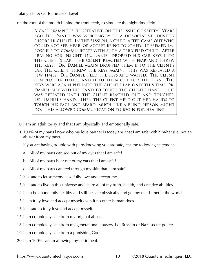on the roof of the mouth behind the front teeth, to simulate the night time field.

A case example is illustrative on this issue of safety. Years ago Dr. Daniel was working with a dissociative identity disorder client. In the session, a child alter came out who could not see, hear, or accept being touched. It seemed impossible to communicate with such a terrified child. After praying for insight, Dr. Daniel dropped his car keys into the client's lap. The client reacted with fear and threw the keys. Dr. Daniel again dropped them into the client's lap. The client threw the keys again. This was repeated a few times. Dr. Daniel held the keys and waited. The client clapped her hands and held them out for the keys. The keys were again put into the client's lap, only this time Dr. Daniel allowed his hand to touch the client's hand. This was repeated until the client reached out and touched Dr. Daniel's hand. Then the client held out her hands to touch his face and beard, much like a blind person might do. This allowed communication to begin for healing.

- 10.I am an adult today and that I am physically and emotionally safe.
- 11.100% of my parts know who my love partner is today and that I am safe with him/her (i.e. not an abuser from my past).

If you are having trouble with parts knowing you are safe, test the following statements:

- a. All of my parts can see out of my eyes that I am safe?
- b. All of my parts hear out of my ears that I am safe?
- c. All of my parts can feel through my skin that I am safe?
- 12.It is safe to let someone else fully love and accept me.
- 13.It is safe to live in this universe and share all of my truth, health, and creative abilities.
- 14.I can be abundantly healthy and still be safe physically and get my needs met in the world.
- 15.I can fully love and accept myself even if no other human does.
- 16.It is safe to fully love and accept myself.
- 17.I am completely safe from my original abuser.
- 18.I am completely safe from my generational abusers, i.e. Russian or Nazi secret police.
- 19.I am completely safe from a punishing God.
- 20.I am 100% safe in allowing myself to heal.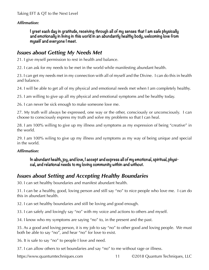#### <span id="page-10-0"></span>*Affirmation:*

**I greet each day in gratitude, receiving through all of my senses that I am safe physically and emotionally in living in this world in an abundantly healthy body, welcoming love from myself and everyone I meet.**

## *Issues about Getting My Needs Met*

21. I give myself permission to rest in health and balance.

22. I can ask for my needs to be met in the world while manifesting abundant health.

23. I can get my needs met in my connection with all of myself and the Divine. I can do this in health and balance.

24. I will be able to get all of my physical and emotional needs met when I am completely healthy.

25. I am willing to give up all my physical and emotional symptoms and be healthy today.

26. I can never be sick enough to make someone love me.

27. My truth will always be expressed, one way or the other, consciously or unconsciously. I can choose to consciously express my truth and solve my problems so that I can heal.

28. I am 100% willing to give up my illness and symptoms as my expression of being "creative" in the world.

29. I am 100% wiling to give up my illness and symptoms as my way of being unique and special in the world.

#### *Affirmation:*

**In abundant health, joy, and love, I accept and express all of my emotional, spiritual, physical, and relational needs to my loving community within and without.**

## *Issues about Setting and Accepting Healthy Boundaries*

30. I can set healthy boundaries and manifest abundant health.

31. I can be a healthy, good, loving person and still say "no" to nice people who love me. I can do this in abundant health.

32. I can set healthy boundaries and still be loving and good enough.

33. I can safely and lovingly say "no" with my voice and actions to others and myself.

34. I know who my symptoms are saying "no" to, in the present and the past.

35. As a good and loving person, it is my job to say "no" to other good and loving people. We must both be able to say "no", and hear "no" for love to exist.

36. It is safe to say "no" to people I love and need.

37. I can allow others to set boundaries and say "no" to me without rage or illness.

<https://www.quantumtechniques.com>11 ©2018 Quantum Techniques, LLC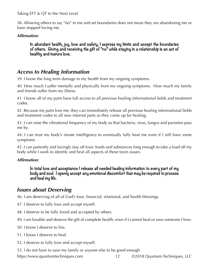<span id="page-11-0"></span>38. Allowing others to say "no" to me and set boundaries does not mean they are abandoning me or have stopped loving me.

#### *Affirmation:*

**In abundant health, joy, love and safety, I express my limits and accept the boundaries of others. Giving and receiving the gift of "no" while staying in a relationship is an act of healthy and mature love.**

## *Access to Healing Information*

39. I know the long term damage to my health from my ongoing symptoms.

40. How much I suffer mentally and physically from my ongoing symptoms. How much my family and friends suffer from my illness.

41. I know all of my parts have full access to all previous healing informational fields and treatment codes.

42. Because my parts love me, they can immediately release all previous healing informational fields and treatment codes to all new internal parts as they come up for healing.

43. I can raise the vibrational frequency of my body so that bacteria, virus, fungus and parasites pass me by.

44. I can trust my body's innate intelligence to eventually fully heal me even if I still have some symptoms.

45. I can patiently and lovingly stay off toxic foods and substances long enough to take a load off my body while I work to identify and heal all aspects of these toxin issues.

#### *Affirmation:*

**In total love and acceptance I release all needed healing information to every part of my body and soul. I openly accept any emotional discomfort that may be required to process and heal my life.**

## *Issues about Deserving*

46. I am deserving of all of God's love, financial, relational, and health blessings.

- 47. I deserve to fully love and accept myself.
- 48. I deserve to be fully loved and accepted by others.
- 49. I am lovable and deserve the gift of complete health, even if I cannot heal or save someone I love.
- 50. I know I deserve to live.
- 51. I know I deserve to heal.
- 52. I deserve to fully love and accept myself.

53. I do not have to save my family or anyone else to be good enough.

<https://www.quantumtechniques.com>12 ©2018 Quantum Techniques, LLC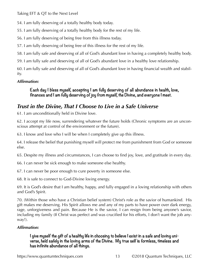<span id="page-12-0"></span>54. I am fully deserving of a totally healthy body today.

55. I am fully deserving of a totally healthy body for the rest of my life.

56. I am fully deserving of being free from this illness today.

57. I am fully deserving of being free of this illness for the rest of my life.

58. I am fully safe and deserving of all of God's abundant love in having a completely healthy body.

59. I am fully safe and deserving of all of God's abundant love in a healthy love relationship.

60. I am fully safe and deserving of all of God's abundant love in having financial wealth and stability.

## *Affirmation:*

**Each day I bless myself, accepting I am fully deserving of all abundance in health, love, finances and I am fully deserving of joy from myself, the Divine, and everyone I meet.** 

## *Trust in the Divine, That I Choose to Live in a Safe Universe*

61. I am unconditionally held in Divine love.

62. I accept my life now, surrendering whatever the future holds (Chronic symptoms are an unconscious attempt at control of the environment or the future).

63. I know and love who I will be when I completely give up this illness.

64. I release the belief that punishing myself will protect me from punishment from God or someone else.

65. Despite my illness and circumstances, I can choose to find joy, love, and gratitude in every day.

66. I can never be sick enough to make someone else healthy.

67. I can never be poor enough to cure poverty in someone else.

68. It is safe to connect to God-Divine loving energy.

69. It is God's desire that I am healthy, happy, and fully engaged in a loving relationship with others and God's Spirit.

70. (Within those who have a Christian belief system) Christ's role as the savior of humankind. His gift makes me deserving. His Spirit allows me and any of my parts to have power over dark energy, rage, unforgiveness and pain. Because He is the savior, I can resign from being anyone's savior, including my family (If Christ was perfect and was crucified for his efforts, I don't want the job anyway!).

## *Affirmation:*

## **I give myself the gift of a healthy life in choosing to believe I exist in a safe and loving universe, held safely in the loving arms of the Divine. My true self is formless, timeless and has infinite abundance of all things.**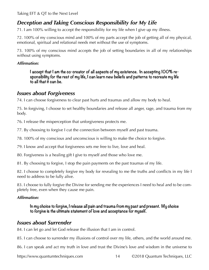## <span id="page-13-0"></span>*Deception and Taking Conscious Responsibility for My Life*

71. I am 100% willing to accept the responsibility for my life when I give up my illness.

72. 100% of my conscious mind and 100% of my parts accept the job of getting all of my physical, emotional, spiritual and relational needs met without the use of symptoms.

73. 100% of my conscious mind accepts the job of setting boundaries in all of my relationships without using symptoms.

#### *Affirmation:*

**I accept that I am the co-creator of all aspects of my existence. In accepting 100% responsibility for the rest of my life, I can learn new beliefs and patterns to recreate my life to all that it can be.**

## *Issues about Forgiveness*

74. I can choose forgiveness to clear past hurts and traumas and allow my body to heal.

75. In forgiving, I choose to set healthy boundaries and release all anger, rage, and trauma from my body.

76. I release the misperception that unforgiveness protects me.

77. By choosing to forgive I cut the connection between myself and past trauma.

78. 100% of my conscious and unconscious is willing to make the choice to forgive.

79. I know and accept that forgiveness sets me free to live, love and heal.

80. Forgiveness is a healing gift I give to myself and those who love me.

81. By choosing to forgive, I stop the pain payments on the past traumas of my life.

82. I choose to completely forgive my body for revealing to me the truths and conflicts in my life I need to address to be fully alive.

83. I choose to fully forgive the Divine for sending me the experiences I need to heal and to be completely free, even when they cause me pain.

#### *Affirmation:*

**In my choice to forgive, I release all pain and trauma from my past and present. My choice to forgive is the ultimate statement of love and acceptance for myself.**

## *Issues about Surrender*

84. I can let go and let God release the illusion that I am in control.

85. I can choose to surrender my illusions of control over my life, others, and the world around me.

86. I can speak and act my truth in love and trust the Divine's love and wisdom in the universe to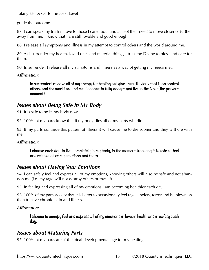<span id="page-14-0"></span>guide the outcome.

87. I can speak my truth in love to those I care about and accept their need to move closer or further away from me. I know that I am still lovable and good enough.

88. I release all symptoms and illness in my attempt to control others and the world around me.

89. As I surrender my health, loved ones and material things, I trust the Divine to bless and care for them.

90. In surrender, I release all my symptoms and illness as a way of getting my needs met.

### *Affirmation:*

**In surrender I release all of my energy for healing as I give up my illusions that I can control others and the world around me. I choose to fully accept and live in the Now (the present moment).**

## *Issues about Being Safe in My Body*

91. It is safe to be in my body now.

92. 100% of my parts know that if my body dies all of my parts will die.

93. If my parts continue this pattern of illness it will cause me to die sooner and they will die with me.

## *Affirmation:*

**I choose each day to live completely in my body, in the moment, knowing it is safe to feel and release all of my emotions and fears.**

## *Issues about Having Your Emotions*

94. I can safely feel and express all of my emotions, knowing others will also be safe and not abandon me (i.e. my rage will not destroy others or myself).

95. In feeling and expressing all of my emotions I am becoming healthier each day.

96. 100% of my parts accept that it is better to occasionally feel rage, anxiety, terror and helplessness than to have chronic pain and illness.

## *Affirmation:*

**I choose to accept, feel and express all of my emotions in love, in health and in safety each day.**

## *Issues about Maturing Parts*

97. 100% of my parts are at the ideal developmental age for my healing.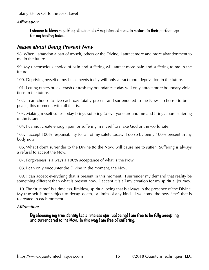#### *Affirmation:*

**I choose to bless myself by allowing all of my internal parts to mature to their perfect age for my healing today.**

## *Issues about Being Present Now*

98. When I abandon a part of myself, others or the Divine, I attract more and more abandonment to me in the future.

99. My unconscious choice of pain and suffering will attract more pain and suffering to me in the future.

100. Depriving myself of my basic needs today will only attract more deprivation in the future.

101. Letting others break, crash or trash my boundaries today will only attract more boundary violations in the future.

102. I can choose to live each day totally present and surrendered to the Now. I choose to be at peace, this moment, with all that is.

103. Making myself suffer today brings suffering to everyone around me and brings more suffering in the future.

104. I cannot create enough pain or suffering in myself to make God or the world safe.

105. I accept 100% responsibility for all of my safety today. I do so by being 100% present in my body now.

106. What I don't surrender to the Divine (to the Now) will cause me to suffer. Suffering is always a refusal to accept the Now.

107. Forgiveness is always a 100% acceptance of what is the Now.

108. I can only encounter the Divine in the moment, the Now.

109. I can accept everything that is present in this moment. I surrender my demand that reality be something different than what is present now. I accept it is all my creation for my spiritual journey.

110. The "true me" is a timeless, limitless, spiritual being that is always in the presence of the Divine. My true self is not subject to decay, death, or limits of any kind. I welcome the new "me" that is recreated in each moment.

### *Affirmation:*

**By choosing my true identity (as a timeless spiritual being) I am free to be fully accepting and surrendered to the Now. In this way I am free of suffering.**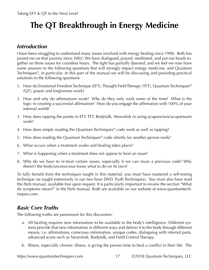# <span id="page-16-0"></span>**The QT Breakthrough in Energy Medicine**

## *Introduction*

I have been struggling to understand many issues involved with energy healing since 1998. Beth has joined me on that journey since 2002. We have dialogued, prayed, meditated, and put our heads together on these issues for countless hours. The light has partially dawned, and we feel we now have some answers to the following questions that will strongly impact energy medicine, and Quantum Techniques®, in particular. In this part of the manual we will be discussing and providing practical solutions to the following questions:

- 1. How do Emotional Freedom Technique (EFT), Thought Field Therapy (TFT), Quantum Techniques® (QT), prayer and forgiveness work?
- 2. How and why do affirmations work? Why do they only work some of the time? What is the logic in creating a successful affirmation? How do you engage the affirmation with 100% of your internal world?
- 3. How does tapping the points in EFT, TFT, Bodytalk, Neurolink or using acupuncture/acupressure work?
- 4. How does simply reading the Quantum Techniques® code work as well as tapping?
- 5. How does reading the Quantum Techniques® code silently for another person work?
- 6. What occurs when a treatment works and healing takes place?
- 7. What is happening when a treatment does not appear to heal an issue?
- 8. Why do we have to re-treat certain issues, especially if we can reuse a previous code? Why doesn't the body/unconscious know what to do on its own?

To fully benefit from the techniques taught in this material, you must have mastered a self-testing technique (as taught extensively in our two hour DVD, Truth Techniques). You must also have read the Parts manual, available free upon request. It is particularly important to review the section "What do symptoms mean?" in the Parts manual. Both are available on our website at www.quantumtechniques.com.

## *Basic Core Truths*

The following truths are paramount for this discussion:

- a. All healing requires new information to be available to the body's intelligence. Different systems provide that new information in different ways and deliver it to the body through different means, i.e. affirmations, conscious information, unique codes, dialoguing with internal parts, advanced scans such as Neurolink, Bodytalk, and Field Control Therapy.
- b. Illness, especially chronic illness, is giving the person time to heal a conflict in their life. The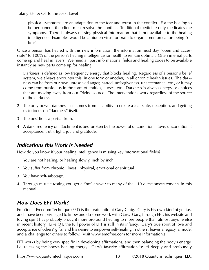<span id="page-17-0"></span>physical symptoms are an adaptation to the fear and terror in the conflict. For the healing to be permanent, the client must resolve the conflict. Traditional medicine only medicates the symptoms. There is always missing physical information that is not available to the healing intelligence. Examples would be a hidden virus, or brain to organ communication being "off line".

Once a person has healed with this new information, the information must stay "open and accessible" to 100% of the person's healing intelligence for health to remain optimal. Often internal parts come up and heal in layers. We need all past informational fields and healing codes to be available instantly as new parts come up for healing.

- 1. Darkness is defined as low frequency energy that blocks healing. Regardless of a person's belief system, we always encounter this, in one form or another, in all chronic health issues. The darkness can be from our own unresolved anger, hatred, unforgiveness, unacceptance, etc., or it may come from outside us in the form of entities, curses, etc. Darkness is always energy or choices that are moving away from our Divine source. The interventions work regardless of the source of the darkness.
- 2. The only power darkness has comes from its ability to create a fear state, deception, and getting us to focus on "darkness" itself.
- 3. The best lie is a partial truth.
- 4. A dark frequency or attachment is best broken by the power of unconditional love, unconditional acceptance, truth, light, joy and gratitude.

## *Indications this Work is Needed*

How do you know if your healing intelligence is missing key informational fields?

- 1. You are not healing, or healing slowly, inch by inch.
- 2. You suffer from chronic illness: physical, emotional or spiritual.
- 3. You have self-sabotage.
- 4. Through muscle testing you get a "no" answer to many of the 110 questions/statements in this manual.

## *How Does EFT Work?*

Emotional Freedom Technique (EFT) is the brainchild of Gary Craig. Gary is his own kind of genius, and I have been privileged to know and do some work with Gary. Gary, through EFT, his website and loving spirit has probably brought more profound healing to more people than almost anyone else in recent history. Like QT, the full power of EFT is still in its infancy. Gary's true spirit of love and acceptance of others' gifts, and his desire to empower self-healing in others, leaves a legacy, a model and a challenge for others to follow. (Visit www.emofree.com for more information.)

EFT works by being very specific in developing affirmations, and then balancing the body's energy, i.e. releasing the body's healing energy. Gary's favorite affirmation is: "I deeply and profoundly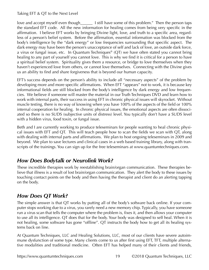<span id="page-18-0"></span>love and accept myself even though\_\_\_\_\_\_ I still have some of this problem." Then the person taps the standard EFT code. All the new information for healing comes from being very specific in the affirmation. I believe EFT works by bringing Divine light, love, and truth to a specific area, regardless of a person's belief system. Before the affirmation, essential information was blocked from the body's intelligence by the "dark energy" or low frequencies surrounding that specific aspect. The dark energy may have been the person's unacceptance of self and lack of love, an outside dark force, a virus or fungal issue, etc. In Quantum Techniques® (QT) we have often stated you cannot bring healing to any part of yourself you cannot love. This is why we find it is critical for a person to have a spiritual belief system. Spirituality gives them a resource, or bridge to love themselves when they haven't experienced love from others, or cannot love themselves. Connecting with the Divine gives us an ability to find and share forgiveness that is beyond our human capacity.

EFT's success depends on the person's ability to include all "necessary aspects" of the problem by developing more and more specific affirmations. When EFT "appears" not to work, it is because key informational fields are still blocked from the body's intelligence by dark energy and low frequencies. We believe if someone will master the material in our Truth Techniques DVD and learn how to work with internal parts, their success in using EFT in chronic physical issues will skyrocket. Without muscle testing, there is no way of knowing when you have 100% of the aspects of the field or 100% internal cooperation for healing. In chronic physical issues, the emotional aspects are often dissociated so there is no SUDS (subjective units of distress) level. You typically don't have a SUDS level with a hidden virus, food toxin, or fungal issue.

Beth and I are currently working to produce teleseminars for people wanting to heal chronic physical issues with EFT and QT. This will teach people how to scan the fields we scan with QT, along with dealing with internal parts and affirmations. We plan to host ongoing teleseminars in 2009 and beyond. We plan to save lectures and clinical cases in a web based training library, along with transcripts of the trainings. You can sign up for the free teleseminars at [www.quantumtechniques.com.](www.quantumtechniques.com)

## *How Does Bodytalk or Neurolink Work?*

These incredible therapies work by reestablishing brain/organ communication. These therapies believe that illness is a result of lost brain/organ communication. They alert the body to these issues by touching contact points on the body and then having the therapist and client do an alerting tapping on the body.

## *How Does QT Work?*

The simple answer is that QT works by putting all of the body's software back online. If your computer stops working due to a virus, you rarely need a new memory chip. Typically, you have someone run a virus scan that tells the computer where the problem is, fixes it, and then allows your computer to use all its intelligence. QT does that for the body. Your body was designed to self heal. When it is not healing, some software has gone "offline". QT instructs the body how to get all its healing systems back on line.

At Quantum Techniques, LLC and Healing Solutions, LLC, most of our clients have severe autoimmune dysfunction of some type. Many clients come to us after first using EFT, TFT, multiple alternative modalities and traditional medicine. Often EFT has helped many of their clients and friends,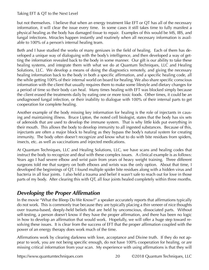<span id="page-19-0"></span>but not themselves. I believe that when an energy treatment like EFT or QT has all of the necessary information, it will clear the issue every time. In some cases it still takes time to fully manifest a physical healing as the body has damaged tissue to repair. Examples of this would be MS, IBS, and fungal infections. Miracles happen instantly and routinely when all necessary information is available to 100% of a person's internal healing team.

Beth and I have studied the works of many geniuses in the field of healing. Each of them has developed a unique way of dialoguing with the body's intelligence, and then developed a way of getting the information revealed back to the body in some manner. Our gift is our ability to take these healing systems, and integrate them with what we do at Quantum Techniques, LLC and Healing Solutions, LLC. We develop a means of doing the diagnostics remotely, and giving the necessary healing information back to the body in both a specific affirmation, and a specific healing code, all the while getting 100% of their internal world on board for healing. We also share specific conscious information with the client that usually requires them to make some lifestyle and dietary changes for a period of time so their body can heal. Many times healing with EFT was blocked simply because the client erased the treatments daily by eating one or more toxic foods. Other times, it could be an undiagnosed fungal infection, or their inability to dialogue with 100% of their internal parts to get cooperation for complete healing.

Another example of the body missing key information for healing is the role of injectants in causing and maintaining illness. Bruce Lipton, the noted cell biologist, states that the body has six sets of adenoids that are used to develop the immune system. That is why little kids put everything in their mouth. This allows the body to develop immunity to all ingested substances. Because of this, injectants are often a major block to healing as they bypass the body's natural system for creating immunity. The body often doesn't recognize and know what to do with bite residues from spiders, insects, etc. as well as vaccinations and injected medications.

At Quantum Techniques, LLC and Healing Solutions, LLC, we have scans and healing codes that instruct the body to recognize and deal with these complex issues. A clinical example is as follows: Years ago I had severe elbow and wrist pain from years of heavy weight training. Three different surgeons told me that surgery on both elbows and wrists was the only option. About that time, I developed the beginnings of QT. I found multiple spider bite residues along with a hidden virus and bacteria in all four joints. I also held a trauma and belief it wasn't safe to reach out for love in those parts of my body. After clearing this with QT, all four joints healed completely within three months.

## *Developing the Proper Affirmation*

In the movie "What the Bleep Do We Know?" a speaker accurately reports that affirmations typically do not work. This is commonly true because they are typically placing a thin veneer of nice thoughts over trauma-based, deeply-held beliefs that are held by unconscious, dissociated parts. Without self-testing, a person doesn't know if they have the proper affirmation, and there has been no logic in how to develop an affirmation that would work. Hopefully, we will offer a huge step toward resolving these issues. It is clear from the success of EFT that the proper affirmation coupled with the power of an energy therapy does work much of the time.

Affirmations work by clearing darkness with love, acceptance and Divine truth. If they do not appear to work, you are not being specific enough, do not have 100% cooperation for healing, or are missing critical information from your scan. My experience with using affirmations is that they will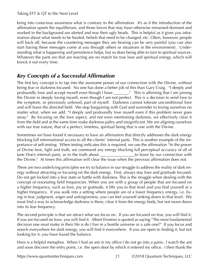bring into conscious awareness what is contrary to the affirmation. It's as if the introduction of the affirmation upsets the equilibrium, and those forces that may have otherwise remained dormant and worked in the background are alerted and rear their ugly heads. This is helpful as it gives you information about what needs to be healed, beliefs that need to be changed, etc. Often, however, people will back off, because the countering messages they are hearing can be very painful (you can also start having these messages come at you through others or situations in the environment). Understanding what is happening and persistence helps, but so does being able to turn to spiritual sources. Whatever the parts are that are reacting are no match for true love and spiritual energy, which will knock it out every time.

## *Key Concepts of a Successful Affirmation*

The first key concept is to tap into the awesome power of our connection with the Divine, without being fear or darkness focused. No one has done a better job of this than Gary Craig. "I deeply and profoundly love and accept myself even though I have \_\_\_\_\_\_\_." This is affirming that I am joining the Divine in deeply loving myself, even though I am not perfect. This is a decision to send love to the symptom, or previously unloved, part of myself. Darkness cannot tolerate unconditional love and will leave the directed field. We stop bargaining with God and surrender to loving ourselves no matter what, when we add, "I deeply and profoundly love myself even if this problem never goes away." By focusing on the love aspect, and not even mentioning darkness, we effectively clear it from the field and at the same time make darkness paltry and insignificant. We are aligning ourselves with our true nature, that of a perfect, timeless, spiritual being that is one with the Divine.

Sometimes we have found it necessary to have an affirmation that directly addresses the dark energy blocking full informational access to all the clients' internal parts. This is another example of the importance of self-testing. When testing indicates this is required, we use the affirmation "In the power of Divine love, light and truth, we command any energy blocking full perceptual accuracy of all of Jane Doe's internal parts, as to the truth about <u>\_\_\_\_\_\_\_\_\_\_\_\_\_\_\_</u>\_\_\_\_\_\_to leave by our connection with the Divine." At times this affirmation will clear the issue when the previous affirmation does not.

There are two underlying principles we try to balance in our struggle to address the reality of dark energy without attracting or focusing on the dark energy. First, always stay love and gratitude focused. Do not get locked into a fear state or battle with darkness. This is the struggle when dealing with the concept of resonating field frequencies. When you are with a group of people that are focused on a higher frequency, such as love, joy or gratitude, it lifts you to that level and you find yourself at a higher frequency. If you walk into a setting where people are of a lower frequency energy, i.e. living in fear, judgment, anger and unforgiveness, you can feel yourself sinking down to that level. We must find a way to acknowledge darkness is there, clear it from the energy body, but not move down into its fear frequency.

The second principle is that we attract what we focus on. If you are focused on fear, you will find it. If you are focused on love, you will find it. Albert Einstein is quoted as saying "The most fundamental decision one must make in their life is do I live in a hostile universe or a safe one?" If you focus and search everywhere for dark energy, you will find it everywhere. If you are open to finding it, but not looking for it, you have found the balance.

Here is a helpful metaphor. When I find an ant in my office I do not go into a panic. I watch the ant and soon discover the entry point, i.e. the open door by which it entered my office. I then thank the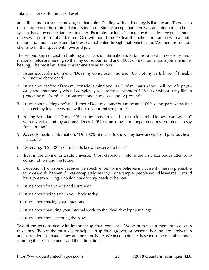<span id="page-21-0"></span>ant, kill it, and put some caulking on that hole. Dealing with dark energy is like the ant. There is no reason for fear, or becoming darkness focused. Simply accept that there was an entry point, a belief system that allowed the darkness to enter. Examples include, "I am unlovable; I deserve punishment; others will punish or abandon me; God will punish me." Clear the belief and trauma with an affirmation and trauma code and darkness cannot enter through that belief again. We then instruct our clients to fill that space with love and joy.

The second key concept in building a successful affirmation is to brainstorm what necessary informational fields are missing so that my conscious mind and 100% of my internal parts join me in my healing. The most key areas to examine are as follows:

- 1. Issues about abandonment. "Does my conscious mind and 100% of my parts know if I heal, I will not be abandoned?"
- 2. Issues about safety. "Does my conscious mind and 100% of my parts know I will be safe physically and emotionally when I completely release these symptoms? What or whom is my illness protecting me from? Is it from someone in my past and or present?"
- 3. Issues about getting one's needs met. "Does my conscious mind and 100% of my parts know that I can get my love needs met without my current symptoms?"
- 4. Setting Boundaries. "Does 100% of my conscious and unconscious mind know I can say "no" with my voice and my actions? Does 100% of me know I no longer need my symptoms to say "no" for me?"
- 5. Access to healing information. "Do 100% of my parts know they have access to all previous healing codes?"
- 6. Deserving. "Do 100% of my parts know I deserve to heal?"
- 7. Trust in the Divine, or a safe universe. Most chronic symptoms are an unconscious attempt to control others and the future.
- 8. Deception. From some deceived perspective, part of me believes my current illness is preferable to what would happen if I was completely healthy. For example, people would leave me, I would have to earn a living, I couldn't ask for my needs to be met…
- 9. Issues about forgiveness and surrender.
- 10.Issues about being safe in your body today.
- 11.Issues about having your emotions.
- 12.Issues about maturing your internal world to the ideal developmental age.
- 13.Issues about not accepting the Now.

Two of the sections deal with important spiritual concepts. We want to take a moment to discuss those now. Two of the most key principles in spiritual growth, or personal healing, are forgiveness and surrender. Ultimately they are the same issue. We need to define these terms before fully understanding the test statements and the affirmations.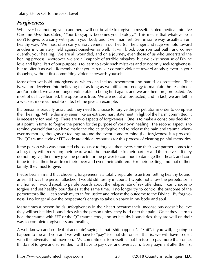## <span id="page-22-0"></span>*Forgiveness*

Whatever I cannot forgive in another, I will not be able to forgive in myself. Noted medical intuitive Caroline Myss has stated, "Your biography becomes your biology." This means that whatever you don't forgive, you carry with you in your body and it will manifest itself in some way, usually an unhealthy way. We most often carry unforgiveness in our hearts. The anger and rage we hold toward another is ultimately held against ourselves as well. It will block your spiritual path, and consequently, your healing. We are all wounded, and on a journey, even those of us who understand the healing process. Moreover, we are all capable of terrible mistakes, but we exist because of Divine love and light. Part of our purpose is to learn to avoid such mistakes and to not only seek forgiveness, but to offer it as well. Remember that you can never commit violence toward another, even in your thoughts, without first committing violence towards yourself.

Most often we hold unforgiveness, which can include resentment and hatred, as protection. That is, we are deceived into believing that as long as we utilize our energy to maintain the resentment and/or hatred, we are no longer vulnerable to being hurt again, and we are therefore, protected. As most of us have learned, the opposite is true. We are not at all protected, and in fact, we are left in a weaker, more vulnerable state. Let me give an example.

If a person is sexually assaulted, they need to choose to forgive the perpetrator in order to complete their healing. While this may seem like an extraordinary statement in light of the harm committed, it is necessary for healing. There are two aspects of forgiveness. One is to make a conscious decision, at a point in time, to forgive the person for the purpose of your own healing. The second aspect is to remind yourself that you have made the choice to forgive and to release the pain and trauma whenever memories, thoughts or feelings around the event come to mind (i.e. forgiveness is a process). The QT trauma code or EFT code are critical resources for this process of clearing painful memories.

If the person who was assaulted chooses not to forgive, then every time their love partner comes for a hug, they will freeze up; their heart would be unavailable to their partner and themselves. If they do not forgive, then they give the perpetrator the power to continue to damage their heart, and continue to steal their heart from their lover and even their children. For their healing, and that of their family, they must forgive.

Please bear in mind that choosing forgiveness is a totally separate issue from setting healthy boundaries. If I was the person attacked, I would still testify in court. I would not allow the perpetrator in my home. I would speak to parole boards about the relapse rate of sex offenders. I can choose to forgive and set healthy boundaries at the same time. I no longer try to control the outcome of the perpetrator's life. I can speak my truth for justice and release the outcome to the Divine. By forgiveness, I no longer allow the perpetrator's energy to take up space in my body and soul.

Many times a person holds unforgiveness in their heart because their unconscious doesn't believe they will set healthy boundaries with the person unless they hold onto the pain. Once they learn to heal the trauma with EFT or the QT trauma code, and set healthy boundaries, they are well on their way to complete forgiveness and healing.

A well-known and crude (but accurate) saying is that "shit happens". "Shit", if you will, is going to happen to me and you and we will have to "pay" for that shit once. That is, we will have to deal with the adversity and move on. My commitment to myself is that I refuse to pay more than once. If I do not forgive and surrender, I will have to pay over and over again. Every payment after the first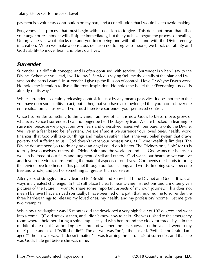payment is a voluntary contribution on my part, and a contribution that I would like to avoid making!

Forgiveness is a process that must begin with a decision to forgive. This does not mean that all of your anger or resentment will dissipate immediately, but that you have begun the process of healing. Unforgiveness is what blocks me and you from being one with others and with the Divine energy in creation. When we make a conscious decision not to forgive someone, we block our ability and God's ability to move, heal, and bless our lives.

## *Surrender*

Surrender is a difficult concept, and is often confused with service. Surrender is when I say to the Divine, "wherever you lead, I will follow." Service is saying "tell me the details of the plan and I will vote on the parts I want." In surrender, I give up the illusion of control. I love Dr Wayne Dyer's work. He holds the intention to live a life from inspiration. He holds the belief that "Everything I need, is already on its way."

While surrender is certainly releasing control, it is not by any means passivity. It does not mean that you have no responsibility to act, but rather, that you have acknowledged that your control over the entire situation is illusory and you must therefore surrender your perceived control.

Once I surrender something to the Divine, I am free of it. It is now God's to bless, move, grow, or whatever. Once I surrender, I can no longer be held hostage by fear. We are blocked in learning to surrender because we project our own fears and unresolved issues with our parents onto the Divine. We live in a fear based belief system. We are afraid if we surrender our loved ones, health, work, finances, that God will take our things and make us suffer. That is the very belief system that draws poverty and suffering to us. God doesn't want your possessions, as Divine wealth is limitless. The Divine doesn't need you to do any task; an angel could do it better. The Divine's only "job" for us is to truly love ourselves, others, the Divine Spirit and the world around us. God wants our hearts, so we can be freed of our fears and judgment of self and others. God wants our hearts so we can live and love in freedom, transcending the material aspects of our lives. God needs our hands to bring the Divine love to others on this planet through our touch, song, and words. In doing so we become free and whole, and part of something far greater than ourselves.

After years of struggle, I finally learned to "Be still and know that I (the Divine) am God". It was always my greatest challenge. In that still place I clearly hear Divine instructions and am often given pictures of the future. I want to share some important aspects of my own journey. This does not mean I believe I have arrived spiritually. I have been led on a path that required me to surrender the three hardest things to release: my loved ones, my health, and my profession/income. Let me give two examples.

When my first daughter was 15 months old she developed a very high fever of 107 degrees and went into a coma. QT did not exist then, and I didn't know how to help. She was rushed to the emergency room where I held her during a spinal tap. I stayed with her around the clock for three days. In the middle of the night I sat holding her hand and watched the first snowfall of the year. I went to my quiet place and asked "Will she die?" The answer was "no", I then asked, "Will she be brain damaged?" The answer was, "It doesn't matter." I was learning the hard facts of surrender, and that she was God's little girl before she was mine.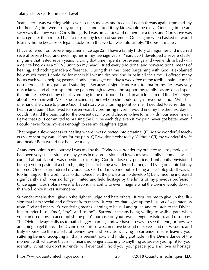<span id="page-24-0"></span>Years later I was working with several cult survivors and received death threats against me and my children. Again I went to my quiet place and asked if my kids would be okay. Once again the answer was that they were God's little girls, I was only a steward of them for a time, and God's love was much greater than mine. I had to relearn my lesson of surrender. Once again when I asked if I would lose my home because of legal attacks from this work, I was told simply, "It doesn't matter."

I have suffered from severe migraines since age 22. I have a family history of migraines and incurred several severe head and neck injuries in my teenage years. Years ago I developed a severe cluster migraine that lasted seven years. During that time I spent most evenings and weekends in bed with a device known as a "TENS unit" on my head. I tried every traditional and non-traditional means of healing, and nothing made a difference. During this time I tried bargaining with God. I explained how much more I could do for others if I wasn't drained and in pain all the time. I offered many hours each week helping pastors if only I could get one day a week free of the terrible pain. It made no difference in my pain and suffering. Because of significant early trauma in my life I was very dissociative and able to split off the pain enough to work and support my family. Many days I spent the minutes between my clients vomiting in the restroom. I read an article in an old Reader's Digest about a woman with MS. She reached a point where she could only move one hand. With that one hand she chose to praise God. That story was a turning point for me. I decided to surrender my health and pain. I had lived for seven years by promising myself I would end my life the next day if I couldn't stand the pain, but for the present day, I would choose to live for my kids. Surrender meant I gave that up. I committed to praising the Divine each day, even if my pain never got better, even if I could never focus my eyes enough to see my daughters again.

That began a slow process of healing where I was directed into creating QT. Many wonderful teachers were sent my way. If not for my pain, QT wouldn't exist today. Without QT, my wonderful wife and healer Beth would not be alive today.

At another point in my journey I was told by the Divine to surrender my practice as a psychologist. I had been very successful for many years in my profession and it was my sole family income. I wasn't excited about it, but I was obedient, expecting God to close my practice. I unhappily envisioned being a youth pastor at a church, going back to being a welder or barber, and living on a third of my income. Once I surrendered my practice, God did move me out of being a psychologist. It was far too limiting for the work I was to do. Once I left the profession to develop QT, my income increased significantly and I was no longer limited and held hostage by the limits of my previous profession. Once again, God's plans were far beyond my ability to even imagine what the Divine would do with this work once it was surrendered.

Surrender means that I give up the right to judge and hate others. It requires me to give up the illusion that I am special and different from others. It requires that I give up the illusion of separateness from God and others. Surrendering means learning to be still and quiet, and to listen to the Divine. In surrender I lose "me", "my", and "mine". Surrender means being willing to walk a path when you can't see how to accomplish the path's purpose on your own strength, wisdom, and resources. The Divine always calls us to paths bigger than us, and we have no way to see the end, or how we are going to get there. The Divine does this so we can move beyond ourselves and our wisdom, and truly experience the majesty of Divine love and provision. Living in surrender means leaving your suffering behind, accepting all that is present now, and finding gratitude in the Divine dance of the moment with whatever that is. It means no longer attaching to anything outside of your spirit for your identity. What you don't surrender will eventually hold you, your peace, joy, and love as hostage,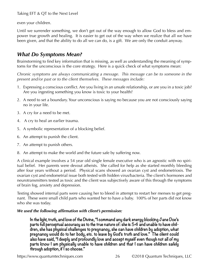<span id="page-25-0"></span>even your children.

Until we surrender something, we don't get out of the way enough to allow God to bless and empower true growth and healing. It is easier to get out of the way when we realize that all we have been given, and that the ability to do all we can do, is a gift. We are only the conduit anyway.

## *What Do Symptoms Mean?*

Brainstorming to find key information that is missing, as well as understanding the meaning of symptoms for the unconscious is the core strategy. Here is a quick check of what symptoms mean:

*Chronic symptoms are always communicating a message. This message can be to someone in the present and/or past or to the client themselves. These messages include:*

- 1. Expressing a conscious conflict. Are you living in an unsafe relationship, or are you in a toxic job? Are you ingesting something you know is toxic to your health?
- 2. A need to set a boundary. Your unconscious is saying no because you are not consciously saying no in your life.
- 3. A cry for a need to be met.
- 4. A cry to heal an earlier trauma.
- 5. A symbolic representation of a blocking belief.
- 6. An attempt to punish the client.
- 7. An attempt to punish others.
- 8. An attempt to make the world and the future safe by suffering now.

A clinical example involves a 54 year old single female executive who is an agnostic with no spiritual belief. Her parents were devout atheists. She called for help as she started monthly bleeding after four years without a period. Physical scans showed an ovarian cyst and endometriosis. The ovarian cyst and endometrial issue both tested with hidden virus/bacteria. The client's hormones and neurotransmitters tested as toxic and the client was subjectively aware of this through the symptoms of brain fog, anxiety and depression.

Testing showed internal parts were causing her to bleed in attempt to restart her menses to get pregnant. These were small child parts who wanted her to have a baby. 100% of her parts did not know who she was today.

### *We used the following affirmation with client's permission:*

**In the light, truth, and love of the Divine, "I command any dark energy blocking Jane Doe's parts full perceptual accuracy as to the true nature of: she is 54 and unable to have children, she has physical challenges to pregnancy, she can have children by adoption, what pregnancy would do to her body, etc. to leave by God's truth and love." The client could also have said, "I deeply and profoundly love and accept myself even though not all of my parts know I am physically unable to have children and that I can have children safely through adoption, if I so choose."**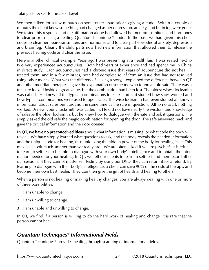<span id="page-26-0"></span>We then talked for a few minutes on some other issue prior to giving a code. Within a couple of minutes the client knew something had changed as her depression, anxiety, and brain fog were gone. We tested this response and the affirmation alone had allowed her neurotransmitters and hormones to clear prior to using a healing Quantum Techniques® code. In the past, we had given this client codes to clear her neurotransmitters and hormones and to clear past episodes of anxiety, depression and brain fog. Clearly the child parts now had new information that allowed them to release the previous healing code and clear the issue.

Here is another clinical example. Years ago I was presenting at a health fair. I was seated next to two very experienced acupuncturists. Both had years of experience and had spent time in China in direct study. Each acupuncturist had a chronic issue that years of acupuncture did not heal. I treated them, and in a few minutes, both had complete relief from an issue that had not resolved using other means. What was the difference? Using a story, I explained the difference between QT and other meridian therapies. I gave the explanation of someone who found an old safe. There was a treasure locked inside of great value, but the combination had been lost. The oldest wisest locksmith was called. He knew all the typical combinations for safes and had studied how safes worked and how typical combinations were used to open safes. The wise locksmith had even studied all known information about safes built around the same time as the safe in question. All to no avail, nothing worked. A new, young locksmith was called in. He did not have nearly the wisdom and knowledge of safes as the older locksmith, but he knew how to dialogue with the safe and ask it questions. He simply asked the old safe the magic combination for opening the door. The safe answered back and gave the critical information and the door opened.

**In QT, we have no preconceived ideas** about what information is missing, or what code the body will reveal. We have simply learned what questions to ask, and the body reveals the needed information and the unique code for healing, thus unlocking the hidden power of the body for healing itself. This makes us look much smarter than we really are! We are often asked if we are psychic! It is critical to learn to self-test to be able to dialogue with your own body's intelligence and to obtain the information needed for your healing. In QT, we tell our clients to learn to self-test and then record all of our sessions. If they cannot master self-testing by using our DVD, they can return it for a refund. By learning to dialogue with their body's intelligence, a client can save 90% of the costs of therapy, and become their own best healer. They can then give the gift of health and healing to others.

When a person is not healing or making healthy changes, you are always dealing with one or more of three possibilities:

- 1. I am unable to change.
- 2. I am unwilling to change.
- 3. I am unable and unwilling to change.

In QT, we find if a person is willing to do the hard work of healing and change, it is rare that the person cannot heal.

## *Quantum Techniques® Informational Fields*

Quantum Techniques® provides healing through scanning of informational fields.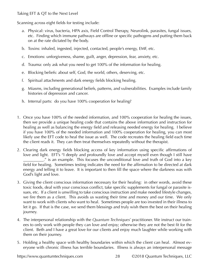Scanning across eight fields for testing include:

- a. Physical: virus, bacteria, HPA axis, Field Control Therapy, Neurolink, parasites, fungal issues, etc. Finding which immune pathways are offline or specific pathogens and putting them back on at the rate dictated by the body.
- b. Toxins: inhaled, ingested, injected, contacted, people's energy, EMF, etc.
- c. Emotions: unforgiveness, shame, guilt, anger, depression, fear, anxiety, etc.
- d. Trauma: only ask what you need to get 100% of the information for healing.
- e. Blocking beliefs: about self, God, the world, others, deserving, etc.
- f. Spiritual attachments and dark energy fields blocking healing.
- g. Miasms, including generational beliefs, patterns, and vulnerabilities. Examples include family histories of depression and cancer.
- h. Internal parts: do you have 100% cooperation for healing?
- 1. Once you have 100% of the needed information, and 100% cooperation for healing the issues, then we provide a unique healing code that contains the above information and instruction for healing as well as balancing the energy field and releasing needed energy for healing. I believe if you have 100% of the needed information and 100% cooperation for healing, you can most likely use the EFT code to heal the issue as well. The code recreates the healing field each time the client reads it. They can then treat themselves repeatedly without the therapist.
- 2. Clearing dark energy fields blocking access of key information using specific affirmations of love and light. EFT's "I deeply and profoundly love and accept myself even though I still have \_\_\_\_\_\_\_\_\_\_." is an example. This focuses the unconditional love and truth of God into a key field for healing. Sometimes testing indicates the need for the affirmation to be directed at dark energy and telling it to leave. It is important to then fill the space where the darkness was with God's light and love.
- 3. Giving the client conscious information necessary for their healing: in other words, avoid these toxic foods, deal with your conscious conflict, take specific supplements for fungal or parasite issues, etc. If a client is unwilling to take conscious instruction and make needed lifestyle changes, we fire them as a client. This avoids us wasting their time and money and our time. We only want to work with clients who want to heal. Sometimes people are too invested in their illness to let it go. If that is the case, we send them blessings and truly wish them the best on their healing journey.
- 4. The interpersonal relationship with the *Quantum Techniques®* practitioner. We instruct our trainees to only work with people they can love and enjoy; otherwise they are not the best fit for the client. Beth and I have a great love for our clients and enjoy much laughter while working with them on their journey.
- 5. Holding a healthy space with healthy boundaries within which the client can heal. Almost everyone with chronic illness has terrible boundaries. Illness is always an interpersonal message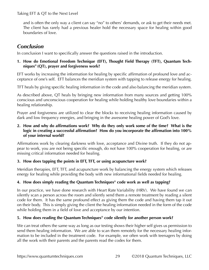and is often the only way a client can say "no" to others' demands, or ask to get their needs met. The client has rarely had a previous healer hold the necessary space for healing within good boundaries of love.

## *Conclusion*

In conclusion I want to specifically answer the questions raised in the introduction.

#### **1. How do Emotional Freedom Technique (EFT), Thought Field Therapy (TFT), Quantum Techniques® (QT), prayer and forgiveness work?**

EFT works by increasing the information for healing by specific affirmation of profound love and acceptance of one's self. EFT balances the meridian system with tapping to release energy for healing.

TFT heals by giving specific healing information in the code and also balancing the meridian system.

As described above, QT heals by bringing new information from many sources and getting 100% conscious and unconscious cooperation for healing while holding healthy love boundaries within a healing relationship.

Prayer and forgiveness are utilized to clear the blocks to receiving healing information caused by dark and low frequency energies, and bringing in the awesome healing power of God's love.

#### **2. How and why do affirmations work? Why do they only work some of the time? What is the logic in creating a successful affirmation? How do you incorporate the affirmation into 100% of your internal world?**

Affirmations work by clearing darkness with love, acceptance and Divine truth. If they do not appear to work, you are not being specific enough, do not have 100% cooperation for healing, or are missing critical information needed for healing.

### **3. How does tapping the points in EFT, TFT, or using acupuncture work?**

Meridian therapies, EFT, TFT, and acupuncture work by balancing the energy system which releases energy for healing while providing the body with new informational fields needed for healing.

### **4. How does simply reading the Quantum Techniques® code work as well as tapping?**

In our practice, we have done research with Heart Rate Variability (HRV). We have found we can silently scan a person across the room and silently send them a remote treatment by reading a silent code for them. It has the same profound effect as giving them the code and having them tap it out on their body. This is simply giving the client the healing information needed in the form of the code while holding them in a field of love and acceptance by our intention.

### **5. How does reading the Quantum Techniques® code silently for another person work?**

We can treat others the same way as long as our testing shows their higher self gives us permission to send them healing information. We are able to scan them remotely for the necessary healing information to be included in the treatment code. For example, we often work with teenagers by doing all the work with their parents and the parents read the codes for them.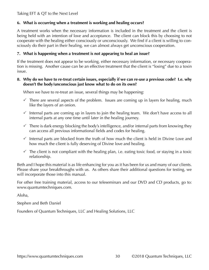#### **6. What is occurring when a treatment is working and healing occurs?**

A treatment works when the necessary information is included in the treatment and the client is being held with an intention of love and acceptance. The client can block this by choosing to not cooperate with the healing either consciously or unconsciously. We find if a client is willing to consciously do their part in their healing, we can almost always get unconscious cooperation.

#### **7. What is happening when a treatment is not appearing to heal an issue?**

If the treatment does not appear to be working, either necessary information, or necessary cooperation is missing. Another cause can be an effective treatment that the client is "losing" due to a toxin issue.

#### **8. Why do we have to re-treat certain issues, especially if we can re-use a previous code? I.e. why doesn't the body/unconscious just know what to do on its own?**

When we have to re-treat an issue, several things may be happening:

- $\checkmark$  There are several aspects of the problem. Issues are coming up in layers for healing, much like the layers of an onion.
- $\checkmark$  Internal parts are coming up in layers to join the healing team. We don't have access to all internal parts at any one time until later in the healing journey.
- $\checkmark$  There is dark energy blocking the body's intelligence, and/or internal parts from knowing they can access all previous informational fields and codes for healing.
- $\checkmark$  Internal parts are blocked from the truth of how much the client is held in Divine Love and how much the client is fully deserving of Divine love and healing.
- $\checkmark$  The client is not compliant with the healing plan, i.e. eating toxic food, or staying in a toxic relationship.

Beth and I hope this material is as life enhancing for you as it has been for us and many of our clients. Please share your breakthroughs with us. As others share their additional questions for testing, we will incorporate those into this manual.

For other free training material, access to our teleseminars and our DVD and CD products, go to: [www.quantumtechniques.com.](www.quantumtechniques.com. )

Aloha,

Stephen and Beth Daniel

Founders of Quantum Techniques, LLC and Healing Solutions, LLC